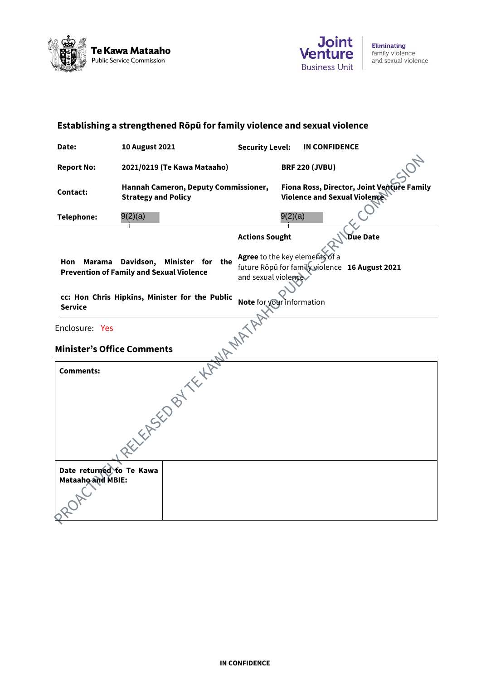



| Establishing a strengthened Rōpū for family violence and sexual violence                    |                                                                    |                                                                                                         |                              |                                            |
|---------------------------------------------------------------------------------------------|--------------------------------------------------------------------|---------------------------------------------------------------------------------------------------------|------------------------------|--------------------------------------------|
| Date:                                                                                       | <b>10 August 2021</b>                                              | <b>Security Level:</b>                                                                                  | <b>IN CONFIDENCE</b>         |                                            |
| <b>Report No:</b>                                                                           | 2021/0219 (Te Kawa Mataaho)                                        |                                                                                                         | <b>BRF 220 (JVBU)</b>        |                                            |
| <b>Contact:</b>                                                                             | Hannah Cameron, Deputy Commissioner,<br><b>Strategy and Policy</b> |                                                                                                         | Violence and Sexual Violence | Fiona Ross, Director, Joint Venture Family |
| Telephone:                                                                                  | 9(2)(a)                                                            |                                                                                                         | 9(2)(a)                      |                                            |
|                                                                                             |                                                                    | <b>Actions Sought</b>                                                                                   |                              | <b>Due Date</b>                            |
| Hon Marama<br>Davidson, Minister for the<br><b>Prevention of Family and Sexual Violence</b> |                                                                    | Agree to the key elements of a<br>future Rōpū for family violence 16 August 2021<br>and sexual violence |                              |                                            |
| <b>Service</b>                                                                              | cc: Hon Chris Hipkins, Minister for the Public                     | Note for your information                                                                               |                              |                                            |
| Enclosure: Yes                                                                              |                                                                    |                                                                                                         |                              |                                            |
| <b>Minister's Office Comments</b>                                                           |                                                                    |                                                                                                         |                              |                                            |
| <b>Comments:</b>                                                                            | RELIEVED BY TELEVAL MAN                                            |                                                                                                         |                              |                                            |
| Date returned to Te Kawa<br>Mataaho and MBIE:                                               |                                                                    |                                                                                                         |                              |                                            |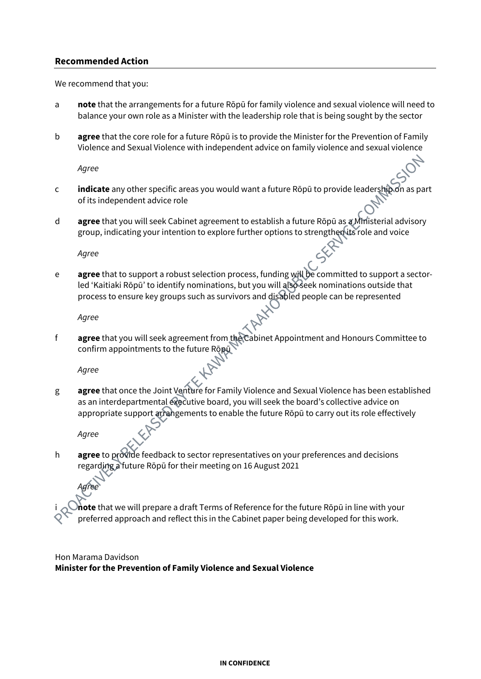#### **Recommended Action**

We recommend that you:

- a **note** that the arrangements for a future Rōpū for family violence and sexual violence will need to balance your own role as a Minister with the leadership role that is being sought by the sector
- b **agree** that the core role for a future Rōpū is to provide the Minister for the Prevention of Family Violence and Sexual Violence with independent advice on family violence and sexual violence

*Agree*

- c **indicate** any other specific areas you would want a future Rōpū to provide leadership on as part of its independent advice role
- d **agree** that you will seek Cabinet agreement to establish a future Rōpū as a Ministerial advisory group, indicating your intention to explore further options to strengthen its role and voice

*Agree*

e **agree** that to support a robust selection process, funding will be committed to support a sectorled 'Kaitiaki Rōpū' to identify nominations, but you will also seek nominations outside that process to ensure key groups such as survivors and disabled people can be represented

*Agree*

f **agree** that you will seek agreement from the Cabinet Appointment and Honours Committee to confirm appointments to the future Ropul

*Agree*

g **agree** that once the Joint Venture for Family Violence and Sexual Violence has been established as an interdepartmental executive board, you will seek the board's collective advice on appropriate support arrangements to enable the future Rōpū to carry out its role effectively

*Agree*

*Agree*

h **agree** to provide feedback to sector representatives on your preferences and decisions regarding a future Rōpū for their meeting on 16 August 2021

i **note** that we will prepare a draft Terms of Reference for the future Rōpū in line with your preferred approach and reflect this in the Cabinet paper being developed for this work.

Hon Marama Davidson **Minister for the Prevention of Family Violence and Sexual Violence**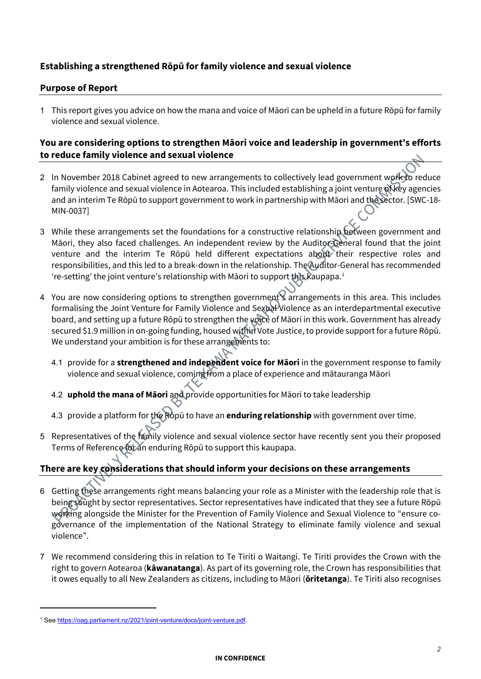## **Establishing a strengthened Rōpū for family violence and sexual violence**

#### **Purpose of Report**

1 This report gives you advice on how the mana and voice of Māori can be upheld in a future Rōpū for family violence and sexual violence.

### **You are considering options to strengthen Māori voice and leadership in government's efforts to reduce family violence and sexual violence**

- 2 In November 2018 Cabinet agreed to new arrangements to collectively lead government work to reduce family violence and sexual violence in Aotearoa. This included establishing a joint venture of key agencies and an interim Te Rōpū to support government to work in partnership with Māori and the sector. [SWC-18- MIN-0037]
- 3 While these arrangements set the foundations for a constructive relationship between government and Māori, they also faced challenges. An independent review by the Auditor-General found that the joint venture and the interim Te Rōpū held different expectations about their respective roles and responsibilities, and this led to a break-down in the relationship. The Auditor-General has recommended 're-setting' the joint venture's relationship with Māori to support this kaupapa. 1
- 4 You are now considering options to strengthen government's arrangements in this area. This includes formalising the Joint Venture for Family Violence and Sexual Violence as an interdepartmental executive board, and setting up a future Rōpū to strengthen the voice of Māori in this work. Government has already secured \$1.9 million in on-going funding, housed within Vote Justice, to provide support for a future Rōpū. We understand your ambition is for these arrangements to:
	- 4.1 provide for a **strengthened and independent voice for Māori** in the government response to family violence and sexual violence, coming from a place of experience and mātauranga Māori
	- 4.2 **uphold the mana of Māori** and provide opportunities for Māori to take leadership
	- 4.3 provide a platform for the Rōpū to have an **enduring relationship** with government over time.
- 5 Representatives of the family violence and sexual violence sector have recently sent you their proposed Terms of Reference for an enduring Rōpū to support this kaupapa.

## **There are key considerations that should inform your decisions on these arrangements**

- 6 Getting these arrangements right means balancing your role as a Minister with the leadership role that is being sought by sector representatives. Sector representatives have indicated that they see a future Rōpū working alongside the Minister for the Prevention of Family Violence and Sexual Violence to "ensure cogovernance of the implementation of the National Strategy to eliminate family violence and sexual violence".
- 7 We recommend considering this in relation to Te Tiriti o Waitangi. Te Tiriti provides the Crown with the right to govern Aotearoa (**kāwanatanga**). As part of its governing role, the Crown has responsibilities that it owes equally to all New Zealanders as citizens, including to Māori (**ōritetanga**). Te Tiriti also recognises

<sup>1</sup> See https://oag.parliament.nz/2021/joint-venture/docs/joint-venture.pdf.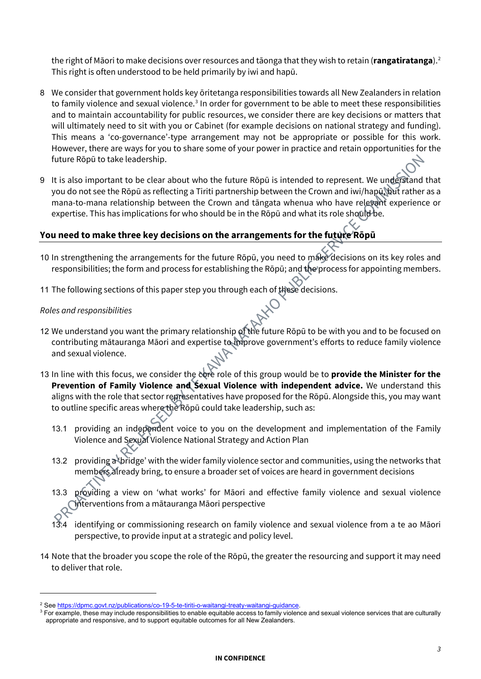the right of Māori to make decisions over resources and tāonga that they wish to retain (**rangatiratanga**).<sup>2</sup> This right is often understood to be held primarily by iwi and hapū.

- 8 We consider that government holds key ōritetanga responsibilities towards all New Zealanders in relation to family violence and sexual violence. <sup>3</sup> In order for government to be able to meet these responsibilities and to maintain accountability for public resources, we consider there are key decisions or matters that will ultimately need to sit with you or Cabinet (for example decisions on national strategy and funding). This means a 'co-governance'-type arrangement may not be appropriate or possible for this work. However, there are ways for you to share some of your power in practice and retain opportunities for the future Rōpū to take leadership.
- 9 It is also important to be clear about who the future Rōpū is intended to represent. We understand that you do not see the Rōpū as reflecting a Tiriti partnership between the Crown and iwi/hapū, but rather as a mana-to-mana relationship between the Crown and tāngata whenua who have relevant experience or expertise. This has implications for who should be in the Rōpū and what its role should be.

## **You need to make three key decisions on the arrangements for the future Rōpū**

- 10 In strengthening the arrangements for the future Rōpū, you need to make decisions on its key roles and responsibilities; the form and process for establishing the Rōpū; and the process for appointing members.
- 11 The following sections of this paper step you through each of these decisions.

#### *Roles and responsibilities*

- 12 We understand you want the primary relationship of the future Rōpū to be with you and to be focused on contributing mātauranga Māori and expertise to improve government's efforts to reduce family violence and sexual violence.
- 13 In line with this focus, we consider the core role of this group would be to **provide the Minister for the Prevention of Family Violence and Sexual Violence with independent advice.** We understand this aligns with the role that sector representatives have proposed for the Rōpū. Alongside this, you may want to outline specific areas where the Rōpū could take leadership, such as:
	- 13.1 providing an independent voice to you on the development and implementation of the Family Violence and Sexual Violence National Strategy and Action Plan
	- 13.2 providing a 'bridge' with the wider family violence sector and communities, using the networks that members already bring, to ensure a broader set of voices are heard in government decisions
	- providing a view on 'what works' for Māori and effective family violence and sexual violence interventions from a mātauranga Māori perspective
	- 13.4 identifying or commissioning research on family violence and sexual violence from a te ao Māori perspective, to provide input at a strategic and policy level.
- 14 Note that the broader you scope the role of the Rōpū, the greater the resourcing and support it may need to deliver that role.

<sup>&</sup>lt;sup>2</sup> See https://dpmc.govt.nz/publications/co-19-5-te-tiriti-o-waitangi-treaty-waitangi-guidance.<br><sup>3</sup> For example, these may include responsibilities to enable equitable access to family violence and sexual violence service appropriate and responsive, and to support equitable outcomes for all New Zealanders.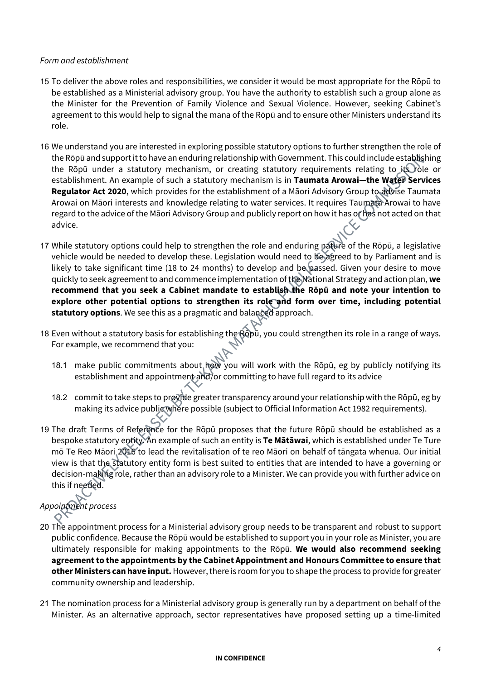#### *Form and establishment*

- 15 To deliver the above roles and responsibilities, we consider it would be most appropriate for the Rōpū to be established as a Ministerial advisory group. You have the authority to establish such a group alone as the Minister for the Prevention of Family Violence and Sexual Violence. However, seeking Cabinet's agreement to this would help to signal the mana of the Rōpū and to ensure other Ministers understand its role.
- 16 We understand you are interested in exploring possible statutory options to further strengthen the role of the Rōpū and support it to have an enduring relationship with Government. This could include establishing the Rōpū under a statutory mechanism, or creating statutory requirements relating to ite role or establishment. An example of such a statutory mechanism is in **Taumata Arowai—the Water Services Regulator Act 2020**, which provides for the establishment of a Māori Advisory Group to advise Taumata Arowai on Māori interests and knowledge relating to water services. It requires Taumata Arowai to have regard to the advice of the Māori Advisory Group and publicly report on how it has of has not acted on that advice.
- 17 While statutory options could help to strengthen the role and enduring nature of the Rōpū, a legislative vehicle would be needed to develop these. Legislation would need to be agreed to by Parliament and is likely to take significant time (18 to 24 months) to develop and be passed. Given your desire to move quickly to seek agreement to and commence implementation of the National Strategy and action plan, **we recommend that you seek a Cabinet mandate to establish the Rōpū and note your intention to explore other potential options to strengthen its role and form over time, including potential statutory options**. We see this as a pragmatic and balanced approach.
- 18 Even without a statutory basis for establishing the Rōpū, you could strengthen its role in a range of ways. For example, we recommend that you:
	- 18.1 make public commitments about how you will work with the Rōpū, eg by publicly notifying its establishment and appointment and/or committing to have full regard to its advice
	- 18.2 commit to take steps to provide greater transparency around your relationship with the Rōpū, eg by making its advice public where possible (subject to Official Information Act 1982 requirements).
- 19 The draft Terms of Reference for the Rōpū proposes that the future Rōpū should be established as a bespoke statutory entity. An example of such an entity is **Te Mātāwai**, which is established under Te Ture mō Te Reo Māori 2016 to lead the revitalisation of te reo Māori on behalf of tāngata whenua. Our initial view is that the statutory entity form is best suited to entities that are intended to have a governing or decision-making role, rather than an advisory role to a Minister. We can provide you with further advice on this if needed.

# *Appointment process*

- 20 The appointment process for a Ministerial advisory group needs to be transparent and robust to support public confidence. Because the Rōpū would be established to support you in your role as Minister, you are ultimately responsible for making appointments to the Rōpū. **We would also recommend seeking agreement to the appointments by the Cabinet Appointment and Honours Committee to ensure that**  other Ministers can have input. However, there is room for you to shape the process to provide for greater community ownership and leadership.
- 21 The nomination process for a Ministerial advisory group is generally run by a department on behalf of the Minister. As an alternative approach, sector representatives have proposed setting up a time-limited

#### **IN CONFIDENCE**